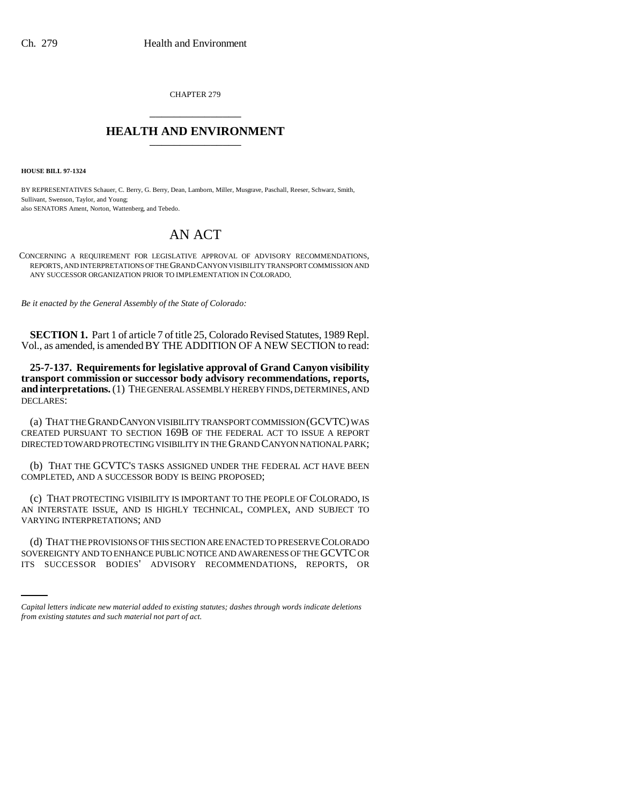CHAPTER 279 \_\_\_\_\_\_\_\_\_\_\_\_\_\_\_

## **HEALTH AND ENVIRONMENT** \_\_\_\_\_\_\_\_\_\_\_\_\_\_\_

**HOUSE BILL 97-1324**

BY REPRESENTATIVES Schauer, C. Berry, G. Berry, Dean, Lamborn, Miller, Musgrave, Paschall, Reeser, Schwarz, Smith, Sullivant, Swenson, Taylor, and Young; also SENATORS Ament, Norton, Wattenberg, and Tebedo.

## AN ACT

CONCERNING A REQUIREMENT FOR LEGISLATIVE APPROVAL OF ADVISORY RECOMMENDATIONS, REPORTS, AND INTERPRETATIONS OF THE GRAND CANYON VISIBILITY TRANSPORT COMMISSION AND ANY SUCCESSOR ORGANIZATION PRIOR TO IMPLEMENTATION IN COLORADO.

*Be it enacted by the General Assembly of the State of Colorado:*

**SECTION 1.** Part 1 of article 7 of title 25, Colorado Revised Statutes, 1989 Repl. Vol., as amended, is amended BY THE ADDITION OF A NEW SECTION to read:

**25-7-137. Requirements for legislative approval of Grand Canyon visibility transport commission or successor body advisory recommendations, reports, and interpretations.** (1) THE GENERAL ASSEMBLY HEREBY FINDS, DETERMINES, AND DECLARES:

(a) THAT THE GRAND CANYON VISIBILITY TRANSPORT COMMISSION (GCVTC) WAS CREATED PURSUANT TO SECTION 169B OF THE FEDERAL ACT TO ISSUE A REPORT DIRECTED TOWARD PROTECTING VISIBILITY IN THE GRAND CANYON NATIONAL PARK;

(b) THAT THE GCVTC'S TASKS ASSIGNED UNDER THE FEDERAL ACT HAVE BEEN COMPLETED, AND A SUCCESSOR BODY IS BEING PROPOSED;

(c) THAT PROTECTING VISIBILITY IS IMPORTANT TO THE PEOPLE OF COLORADO, IS AN INTERSTATE ISSUE, AND IS HIGHLY TECHNICAL, COMPLEX, AND SUBJECT TO VARYING INTERPRETATIONS; AND

(d) THAT THE PROVISIONS OF THIS SECTION ARE ENACTED TO PRESERVE COLORADO SOVEREIGNTY AND TO ENHANCE PUBLIC NOTICE AND AWARENESS OF THE GCVTC OR ITS SUCCESSOR BODIES' ADVISORY RECOMMENDATIONS, REPORTS, OR

*Capital letters indicate new material added to existing statutes; dashes through words indicate deletions from existing statutes and such material not part of act.*